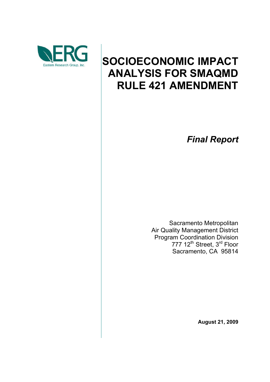

# **SOCIOECONOMIC IMPACT ANALYSIS FOR SMAQMD RULE 421 AMENDMENT**

*Final Report*

Sacramento Metropolitan Air Quality Management District Program Coordination Division 777 12<sup>th</sup> Street, 3<sup>rd</sup> Floor Sacramento, CA 95814

**August 21, 2009**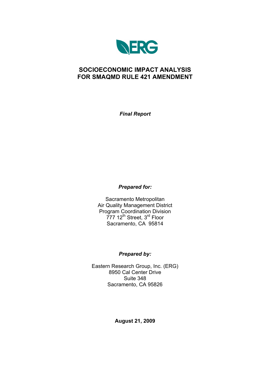

### **SOCIOECONOMIC IMPACT ANALYSIS FOR SMAQMD RULE 421 AMENDMENT**

*Final Report*

*Prepared for:*

Sacramento Metropolitan Air Quality Management District Program Coordination Division 777 12<sup>th</sup> Street, 3<sup>rd</sup> Floor Sacramento, CA 95814

#### *Prepared by:*

Eastern Research Group, Inc. (ERG) 8950 Cal Center Drive Suite 348 Sacramento, CA 95826

**August 21, 2009**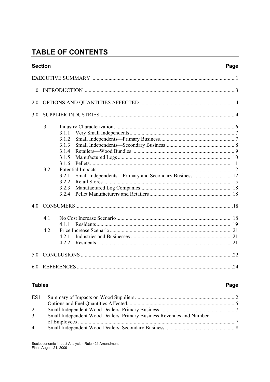# **TABLE OF CONTENTS**

|                | <b>Section</b> |                                                                                                                                                 | Page |  |  |  |  |
|----------------|----------------|-------------------------------------------------------------------------------------------------------------------------------------------------|------|--|--|--|--|
|                |                |                                                                                                                                                 |      |  |  |  |  |
| 1 <sub>0</sub> |                |                                                                                                                                                 |      |  |  |  |  |
| 2.0            |                |                                                                                                                                                 |      |  |  |  |  |
| 3.0            |                |                                                                                                                                                 |      |  |  |  |  |
|                | 3.1<br>3.2     | 3.1.1<br>3.1.2<br>3.1.3<br>3.1.4<br>3.1.5<br>3.1.6<br>Small Independents—Primary and Secondary Business  12<br>3.2.1<br>3.2.2<br>3.2.3<br>3.2.4 |      |  |  |  |  |
| 4 <sub>0</sub> |                |                                                                                                                                                 |      |  |  |  |  |
|                | 4.1<br>42      | 4.1.1<br>4.2.1<br>4.2.2                                                                                                                         |      |  |  |  |  |
| 5.0            |                |                                                                                                                                                 |      |  |  |  |  |
| 6.0            |                |                                                                                                                                                 |      |  |  |  |  |

#### **Tables**

#### Page

| ES1            |                                                                     |  |
|----------------|---------------------------------------------------------------------|--|
| $\mathbf{1}$   |                                                                     |  |
| 2              |                                                                     |  |
| $\mathbf{3}$   | Small Independent Wood Dealers–Primary Business Revenues and Number |  |
|                |                                                                     |  |
| $\overline{4}$ |                                                                     |  |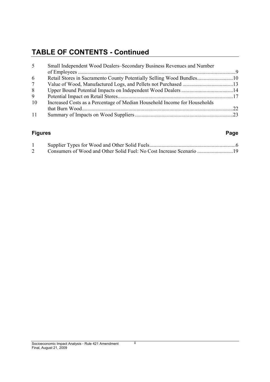## **TABLE OF CONTENTS - Continued**

| 5               | Small Independent Wood Dealers-Secondary Business Revenues and Number     |  |  |  |
|-----------------|---------------------------------------------------------------------------|--|--|--|
|                 |                                                                           |  |  |  |
| 6               |                                                                           |  |  |  |
| $7\overline{ }$ |                                                                           |  |  |  |
| 8               |                                                                           |  |  |  |
| 9               |                                                                           |  |  |  |
| 10              | Increased Costs as a Percentage of Median Household Income for Households |  |  |  |
|                 |                                                                           |  |  |  |
| 11              |                                                                           |  |  |  |

#### **Figures Page**

ii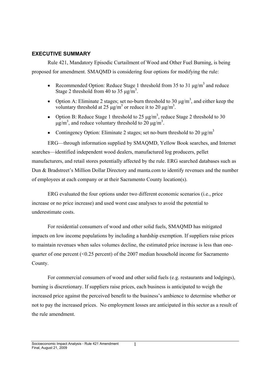#### **EXECUTIVE SUMMARY**

Rule 421, Mandatory Episodic Curtailment of Wood and Other Fuel Burning, is being proposed for amendment. SMAQMD is considering four options for modifying the rule:

- Recommended Option: Reduce Stage 1 threshold from 35 to 31  $\mu$ g/m<sup>3</sup> and reduce Stage 2 threshold from 40 to 35  $\mu$ g/m<sup>3</sup>.
- Option A: Eliminate 2 stages; set no-burn threshold to 30  $\mu$ g/m<sup>3</sup>, and either keep the voluntary threshold at 25  $\mu$ g/m<sup>3</sup> or reduce it to 20  $\mu$ g/m<sup>3</sup>.
- Option B: Reduce Stage 1 threshold to 25  $\mu$ g/m<sup>3</sup>, reduce Stage 2 threshold to 30  $\mu$ g/m<sup>3</sup>, and reduce voluntary threshold to 20  $\mu$ g/m<sup>3</sup>.
- Contingency Option: Eliminate 2 stages; set no-burn threshold to 20  $\mu$ g/m<sup>3</sup>

ERG—through information supplied by SMAOMD, Yellow Book searches, and Internet searches—identified independent wood dealers, manufactured log producers, pellet manufacturers, and retail stores potentially affected by the rule. ERG searched databases such as Dun & Bradstreet's Million Dollar Directory and manta.com to identify revenues and the number of employees at each company or at their Sacramento County location(s).

ERG evaluated the four options under two different economic scenarios (i.e., price increase or no price increase) and used worst case analyses to avoid the potential to underestimate costs.

For residential consumers of wood and other solid fuels, SMAQMD has mitigated impacts on low income populations by including a hardship exemption. If suppliers raise prices to maintain revenues when sales volumes decline, the estimated price increase is less than onequarter of one percent (<0.25 percent) of the 2007 median household income for Sacramento County.

For commercial consumers of wood and other solid fuels (e.g. restaurants and lodgings), burning is discretionary. If suppliers raise prices, each business is anticipated to weigh the increased price against the perceived benefit to the business's ambience to determine whether or not to pay the increased prices. No employment losses are anticipated in this sector as a result of the rule amendment.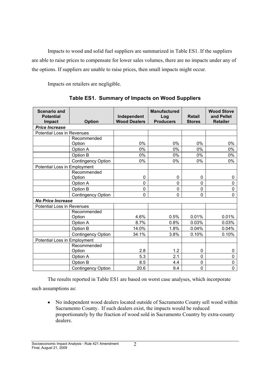Impacts to wood and solid fuel suppliers are summarized in Table ES1. If the suppliers are able to raise prices to compensate for lower sales volumes, there are no impacts under any of the options. If suppliers are unable to raise prices, then small impacts might occur.

Impacts on retailers are negligible.

| <b>Scenario and</b><br><b>Potential</b><br><b>Impact</b> | <b>Option</b>             | Independent<br><b>Wood Dealers</b> | <b>Manufactured</b><br>Log<br><b>Producers</b> | <b>Retail</b><br><b>Stores</b> | <b>Wood Stove</b><br>and Pellet<br><b>Retailer</b> |
|----------------------------------------------------------|---------------------------|------------------------------------|------------------------------------------------|--------------------------------|----------------------------------------------------|
| <b>Price Increase</b>                                    |                           |                                    |                                                |                                |                                                    |
| <b>Potential Loss in Revenues</b>                        |                           |                                    |                                                |                                |                                                    |
|                                                          | Recommended               |                                    |                                                |                                |                                                    |
|                                                          | Option                    | 0%                                 | 0%                                             | 0%                             | 0%                                                 |
|                                                          | Option A                  | 0%                                 | 0%                                             | 0%                             | 0%                                                 |
|                                                          | Option B                  | 0%                                 | 0%                                             | 0%                             | 0%                                                 |
|                                                          | <b>Contingency Option</b> | 0%                                 | 0%                                             | 0%                             | 0%                                                 |
| Potential Loss in Employment                             |                           |                                    |                                                |                                |                                                    |
|                                                          | Recommended               |                                    |                                                |                                |                                                    |
|                                                          | Option                    | 0                                  | 0                                              | 0                              | 0                                                  |
|                                                          | Option A                  | 0                                  | 0                                              | $\mathbf{0}$                   | 0                                                  |
|                                                          | Option B                  | 0                                  | 0                                              | 0                              | 0                                                  |
|                                                          | <b>Contingency Option</b> | $\mathbf 0$                        | 0                                              | 0                              | $\Omega$                                           |
| <b>No Price Increase</b>                                 |                           |                                    |                                                |                                |                                                    |
| Potential Loss in Revenues                               |                           |                                    |                                                |                                |                                                    |
|                                                          | Recommended               |                                    |                                                |                                |                                                    |
|                                                          | Option                    | 4.6%                               | 0.5%                                           | 0.01%                          | 0.01%                                              |
|                                                          | Option A                  | 8.7%                               | 0.8%                                           | 0.03%                          | 0.03%                                              |
|                                                          | Option B                  | 14.0%                              | 1.8%                                           | 0.04%                          | 0.04%                                              |
|                                                          | <b>Contingency Option</b> | 34.1%                              | 3.8%                                           | 0.10%                          | 0.10%                                              |
| Potential Loss in Employment                             |                           |                                    |                                                |                                |                                                    |
|                                                          | Recommended               |                                    |                                                |                                |                                                    |
|                                                          | Option                    | 2.8                                | 1.2                                            | 0                              | 0                                                  |
|                                                          | Option A                  | 5.3                                | 2.1                                            | 0                              | 0                                                  |
|                                                          | Option B                  | 8.5                                | 4.4                                            | $\mathbf{0}$                   | 0                                                  |
|                                                          | <b>Contingency Option</b> | 20.6                               | 9.4                                            | $\mathbf 0$                    | 0                                                  |

**Table ES1. Summary of Impacts on Wood Suppliers**

The results reported in Table ES1 are based on worst case analyses, which incorporate

such assumptions as:

No independent wood dealers located outside of Sacramento County sell wood within Sacramento County. If such dealers exist, the impacts would be reduced proportionately by the fraction of wood sold in Sacramento Country by extra-county dealers.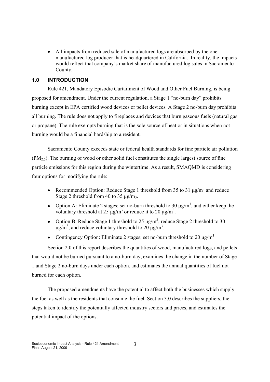All impacts from reduced sale of manufactured logs are absorbed by the one manufactured log producer that is headquartered in California. In reality, the impacts would reflect that company's market share of manufactured log sales in Sacramento County.

#### **1.0 INTRODUCTION**

Rule 421, Mandatory Episodic Curtailment of Wood and Other Fuel Burning, is being proposed for amendment. Under the current regulation, a Stage  $1 \text{ "no-burn day" prohibits}$ burning except in EPA certified wood devices or pellet devices. A Stage 2 no-burn day prohibits all burning. The rule does not apply to fireplaces and devices that burn gaseous fuels (natural gas or propane). The rule exempts burning that is the sole source of heat or in situations when not burning would be a financial hardship to a resident.

Sacramento County exceeds state or federal health standards for fine particle air pollution  $(PM<sub>2.5</sub>)$ . The burning of wood or other solid fuel constitutes the single largest source of fine particle emissions for this region during the wintertime. As a result, SMAQMD is considering four options for modifying the rule:

- Recommended Option: Reduce Stage 1 threshold from 35 to 31  $\mu$ g/m<sup>3</sup> and reduce Stage 2 threshold from 40 to 35  $\mu$ g/m<sub>3</sub>.
- Option A: Eliminate 2 stages; set no-burn threshold to 30  $\mu$ g/m<sup>3</sup>, and either keep the voluntary threshold at 25  $\mu$ g/m<sup>3</sup> or reduce it to 20  $\mu$ g/m<sup>3</sup>.
- Option B: Reduce Stage 1 threshold to 25  $\mu$ g/m<sup>3</sup>, reduce Stage 2 threshold to 30  $\mu$ g/m<sup>3</sup>, and reduce voluntary threshold to 20  $\mu$ g/m<sup>3</sup>.
- Contingency Option: Eliminate 2 stages; set no-burn threshold to 20  $\mu$ g/m<sup>3</sup>

Section 2.0 of this report describes the quantities of wood, manufactured logs, and pellets that would not be burned pursuant to a no-burn day, examines the change in the number of Stage 1 and Stage 2 no-burn days under each option, and estimates the annual quantities of fuel not burned for each option.

The proposed amendments have the potential to affect both the businesses which supply the fuel as well as the residents that consume the fuel. Section 3.0 describes the suppliers, the steps taken to identify the potentially affected industry sectors and prices, and estimates the potential impact of the options.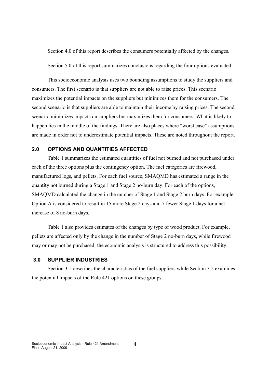Section 4.0 of this report describes the consumers potentially affected by the changes.

Section 5.0 of this report summarizes conclusions regarding the four options evaluated.

This socioeconomic analysis uses two bounding assumptions to study the suppliers and consumers. The first scenario is that suppliers are not able to raise prices. This scenario maximizes the potential impacts on the suppliers but minimizes them for the consumers. The second scenario is that suppliers are able to maintain their income by raising prices. The second scenario minimizes impacts on suppliers but maximizes them for consumers. What is likely to happen lies in the middle of the findings. There are also places where "worst case" assumptions are made in order not to underestimate potential impacts. These are noted throughout the report.

#### **2.0 OPTIONS AND QUANTITIES AFFECTED**

Table 1 summarizes the estimated quantities of fuel not burned and not purchased under each of the three options plus the contingency option. The fuel categories are firewood, manufactured logs, and pellets. For each fuel source, SMAQMD has estimated a range in the quantity not burned during a Stage 1 and Stage 2 no-burn day. For each of the options, SMAQMD calculated the change in the number of Stage 1 and Stage 2 burn days. For example, Option A is considered to result in 15 more Stage 2 days and 7 fewer Stage 1 days for a net increase of 8 no-burn days.

Table 1 also provides estimates of the changes by type of wood product. For example, pellets are affected only by the change in the number of Stage 2 no-burn days, while firewood may or may not be purchased; the economic analysis is structured to address this possibility.

#### **3.0 SUPPLIER INDUSTRIES**

Section 3.1 describes the characteristics of the fuel suppliers while Section 3.2 examines the potential impacts of the Rule 421 options on these groups.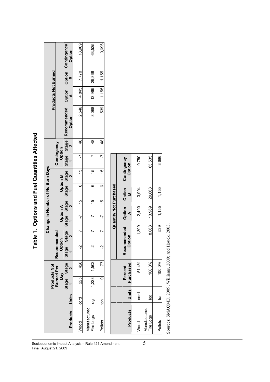| $\overline{a}$ |  |
|----------------|--|
| ١              |  |
| in Trace o     |  |
|                |  |
| ı              |  |
|                |  |

| Socioeconomic Impact Analysis - Rule 421 Amendment |                           |            |                                          |                                  |             |                       |                 |        | able 1. Options and Fuel Quantities Affected |                       |              |                                   |                       |                            |        |                                     |
|----------------------------------------------------|---------------------------|------------|------------------------------------------|----------------------------------|-------------|-----------------------|-----------------|--------|----------------------------------------------|-----------------------|--------------|-----------------------------------|-----------------------|----------------------------|--------|-------------------------------------|
|                                                    |                           |            |                                          |                                  |             |                       |                 |        | <b>Change in Number of No Burn Days</b>      |                       |              |                                   |                       |                            |        |                                     |
|                                                    |                           |            | <b>Products Not</b><br><b>Burned Per</b> |                                  | Recommended |                       |                 |        |                                              |                       | Contingency  |                                   |                       | <b>Products Not Burned</b> |        |                                     |
|                                                    |                           |            | Day                                      |                                  | Option      |                       | <b>Option A</b> |        | <b>Option B</b>                              |                       | Option       |                                   |                       |                            |        |                                     |
|                                                    | Products                  | Units      | <b>Stage</b>                             | Stage<br>$\overline{\mathbf{C}}$ | Stage       | Stage<br>$\sim$       | Stage Stage     | $\sim$ | Stage Stage                                  |                       | <b>Stage</b> | <b>Stage</b><br>$\mathbf{\Omega}$ | Recommended<br>Option | ⋖                          | m      | Option Option Contingency<br>Option |
|                                                    | Wood                      | cord       | 225                                      | 428                              | Ņ           | r                     | Ņ               | 15     | ဖ                                            | 15                    | 7            | $\frac{8}{3}$                     | 2,546                 | 4,845                      | 7,770  | 18,969                              |
|                                                    | Manufactured<br>Fire Logs | <b>Dol</b> | 1,223                                    | 1,502                            | Ņ           | N                     | $\overline{r}$  | 15     | O                                            | 15                    | 7            | $\frac{48}{5}$                    | 8,068                 | 13,969                     | 29,868 | 63,535                              |
|                                                    | Pellets                   | δū         | 0                                        | 77                               | ې           | r                     | Ņ               | 15     | ဖ                                            | 15                    | 7            | $\frac{8}{3}$                     | 539                   | 1,155                      | 1,155  | 3,696                               |
|                                                    |                           |            |                                          |                                  |             |                       |                 |        | Quantity Not Purchased                       |                       |              |                                   |                       |                            |        |                                     |
|                                                    | Products                  | Units      |                                          | Purchased<br>Percent             |             | Recommended<br>Option | ⋖               | Option | Option<br>m                                  | Contingency<br>Option |              |                                   |                       |                            |        |                                     |
|                                                    | Wood                      | cord       |                                          | 51.4%                            |             | 1,309                 |                 | 2,490  | 3,994                                        |                       | 9.750        |                                   |                       |                            |        |                                     |
| 5                                                  | Manufactured<br>Fire Logs | Dol        |                                          | 100.0%                           |             | 8,068                 |                 | 13,969 | 29,868                                       |                       | 63,535       |                                   |                       |                            |        |                                     |
|                                                    | Pellets                   | δū         |                                          | 100.0%                           |             | 539                   |                 | 1,155  | 1,155                                        |                       | 3,696        |                                   |                       |                            |        |                                     |

Sources: SMAQMD, 2009; Williams, 2009; and Houck, 2003. Sources: SMAQMD, 2009; Williams, 2009; and Houck, 2003.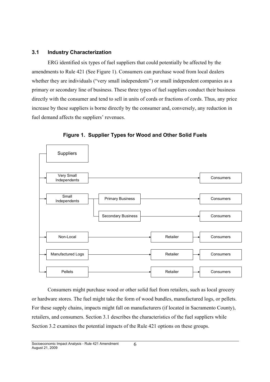#### **3.1 Industry Characterization**

ERG identified six types of fuel suppliers that could potentially be affected by the amendments to Rule 421 (See Figure 1). Consumers can purchase wood from local dealers whether they are individuals ("very small independents") or small independent companies as a primary or secondary line of business. These three types of fuel suppliers conduct their business directly with the consumer and tend to sell in units of cords or fractions of cords. Thus, any price increase by these suppliers is borne directly by the consumer and, conversely, any reduction in fuel demand affects the suppliers' revenues.



**Figure 1. Supplier Types for Wood and Other Solid Fuels**

Consumers might purchase wood or other solid fuel from retailers, such as local grocery or hardware stores. The fuel might take the form of wood bundles, manufactured logs, or pellets. For these supply chains, impacts might fall on manufacturers (if located in Sacramento County), retailers, and consumers. Section 3.1 describes the characteristics of the fuel suppliers while Section 3.2 examines the potential impacts of the Rule 421 options on these groups.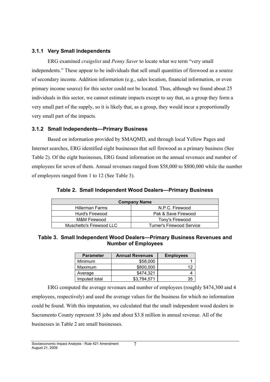#### **3.1.1 Very Small Independents**

ERG examined *craigslist* and *Penny Saver* to locate what we term "very small independents." These appear to be individuals that sell small quantities of firewood as a source of secondary income. Addition information (e.g., sales location, financial information, or even primary income source) for this sector could not be located. Thus, although we found about 25 individuals in this sector, we cannot estimate impacts except to say that, as a group they form a very small part of the supply, so it is likely that, as a group, they would incur a proportionally very small part of the impacts.

#### **3.1.2 Small Independents-Primary Business**

Based on information provided by SMAQMD, and through local Yellow Pages and Internet searches, ERG identified eight businesses that sell firewood as a primary business (See Table 2). Of the eight businesses, ERG found information on the annual revenues and number of employees for seven of them. Annual revenues ranged from \$58,000 to \$800,000 while the number of employees ranged from 1 to 12 (See Table 3).

**Table 2. Small Independent Wood Dealers-Primary Business** 

|                          | <b>Company Name</b>              |
|--------------------------|----------------------------------|
| <b>Hillerman Farms</b>   | N.P.C. Firewood                  |
| Hurd's Firewood          | Pak & Save Firewood              |
| M&M Firewood             | Tony's Firewood                  |
| Muschetto's Firewood LLC | <b>Turner's Firewood Service</b> |

#### **Table 3. Small Independent Wood Dealers-Primary Business Revenues and Number of Employees**

| <b>Parameter</b> | <b>Annual Revenues</b> | <b>Employees</b> |
|------------------|------------------------|------------------|
| Minimum          | \$58,000               |                  |
| Maximum          | \$800,000              | 12               |
| Average          | \$474.321              |                  |
| Imputed total    | \$3.794.571            | 35               |

ERG computed the average revenues and number of employees (roughly \$474,300 and 4 employees, respectively) and used the average values for the business for which no information could be found. With this imputation, we calculated that the small independent wood dealers in Sacramento County represent 35 jobs and about \$3.8 million in annual revenue. All of the businesses in Table 2 are small businesses.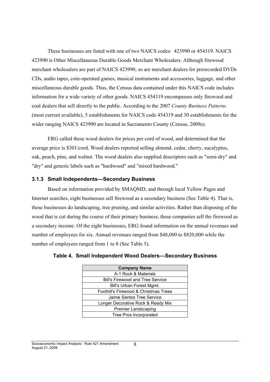These businesses are listed with one of two NAICS codes: 423990 or 454319. NAICS 423990 is Other Miscellaneous Durable Goods Merchant Wholesalers. Although firewood merchant wholesalers are part of NAICS 423990, so are merchant dealers for prerecorded DVDs CDs, audio tapes, coin-operated games, musical instruments and accessories, luggage, and other miscellaneous durable goods. Thus, the Census data contained under this NAICS code includes information for a wide variety of other goods. NAICS 454319 encompasses only firewood and coal dealers that sell directly to the public. According to the 2007 *County Business Patterns* (most current available), 5 establishments for NAICS code 454319 and 30 establishments for the wider ranging NAICS 423990 are located in Sacramento County (Census, 2009a).

ERG called these wood dealers for prices per cord of wood, and determined that the average price is \$301/cord. Wood dealers reported selling almond, cedar, cherry, eucalyptus, oak, peach, pine, and walnut. The wood dealers also supplied descriptors such as "semi-dry" and "dry" and generic labels such as "hardwood" and "mixed hardwood."

#### **3.1.3 Small Independents-Secondary Business**

Based on information provided by SMAQMD, and through local Yellow Pages and Internet searches, eight businesses sell firewood as a secondary business (See Table 4). That is, these businesses do landscaping, tree pruning, and similar activities. Rather than disposing of the wood that is cut during the course of their primary business, these companies sell the firewood as a secondary income. Of the eight businesses, ERG found information on the annual revenues and number of employees for six. Annual revenues ranged from \$48,000 to \$820,000 while the number of employees ranged from 1 to 8 (See Table 5).

| <b>Company Name</b>                     |  |  |
|-----------------------------------------|--|--|
| A-1 Rock & Materials                    |  |  |
| <b>Bill's Firewood and Tree Service</b> |  |  |
| Bill's Urban Forest Mgmt.               |  |  |
| Foothill's Firewood & Christmas Trees   |  |  |
| Jaime Santos Tree Service               |  |  |
| Longer Decorative Rock & Ready Mix      |  |  |
| <b>Premier Landscaping</b>              |  |  |
| <b>Tree Pros Incorporated</b>           |  |  |
|                                         |  |  |

**Table 4. Small Independent Wood Dealers-Secondary Business**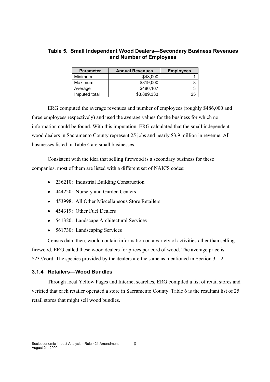#### **Table 5. Small Independent Wood Dealers-Secondary Business Revenues and Number of Employees**

| <b>Parameter</b> | <b>Annual Revenues</b> | <b>Employees</b> |
|------------------|------------------------|------------------|
| Minimum          | \$48,000               |                  |
| Maximum          | \$819,000              |                  |
| Average          | \$486.167              |                  |
| Imputed total    | \$3,889,333            | 25               |

ERG computed the average revenues and number of employees (roughly \$486,000 and three employees respectively) and used the average values for the business for which no information could be found. With this imputation, ERG calculated that the small independent wood dealers in Sacramento County represent 25 jobs and nearly \$3.9 million in revenue. All businesses listed in Table 4 are small businesses.

Consistent with the idea that selling firewood is a secondary business for these companies, most of them are listed with a different set of NAICS codes:

- 236210: Industrial Building Construction
- 444220: Nursery and Garden Centers
- 453998: All Other Miscellaneous Store Retailers
- 454319: Other Fuel Dealers
- 541320: Landscape Architectural Services
- 561730: Landscaping Services

Census data, then, would contain information on a variety of activities other than selling firewood. ERG called these wood dealers for prices per cord of wood. The average price is \$237/cord. The species provided by the dealers are the same as mentioned in Section 3.1.2.

#### **3.1.4 Retailers-Wood Bundles**

Through local Yellow Pages and Internet searches, ERG compiled a list of retail stores and verified that each retailer operated a store in Sacramento County. Table 6 is the resultant list of 25 retail stores that might sell wood bundles.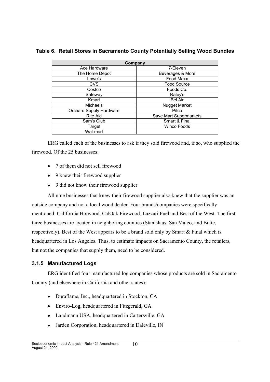| Company                        |                        |
|--------------------------------|------------------------|
| Ace Hardware                   | 7-Eleven               |
| The Home Depot                 | Beverages & More       |
| Lowe's                         | Food Maxx              |
| <b>CVS</b>                     | Food Source            |
| Costco                         | Foods Co.              |
| Safeway                        | Raley's                |
| Kmart                          | <b>Bel Air</b>         |
| <b>Michaels</b>                | <b>Nugget Market</b>   |
| <b>Orchard Supply Hardware</b> | Pitco                  |
| Rite Aid                       | Save Mart Supermarkets |
| Sam's Club                     | Smart & Final          |
| Target                         | <b>Winco Foods</b>     |
| Wal-mart                       |                        |

**Table 6. Retail Stores in Sacramento County Potentially Selling Wood Bundles**

ERG called each of the businesses to ask if they sold firewood and, if so, who supplied the firewood. Of the 25 businesses:

- 7 of them did not sell firewood
- 9 knew their firewood supplier
- 9 did not know their firewood supplier

All nine businesses that knew their firewood supplier also knew that the supplier was an outside company and not a local wood dealer. Four brands/companies were specifically mentioned: California Hotwood, CalOak Firewood, Lazzari Fuel and Best of the West. The first three businesses are located in neighboring counties (Stanislaus, San Mateo, and Butte, respectively). Best of the West appears to be a brand sold only by Smart & Final which is headquartered in Los Angeles. Thus, to estimate impacts on Sacramento County, the retailers, but not the companies that supply them, need to be considered.

#### **3.1.5 Manufactured Logs**

ERG identified four manufactured log companies whose products are sold in Sacramento County (and elsewhere in California and other states):

- Duraflame, Inc., headquartered in Stockton, CA
- Enviro-Log, headquartered in Fitzgerald, GA
- Landmann USA, headquartered in Cartersville, GA
- Jarden Corporation, headquartered in Daleville, IN $\bullet$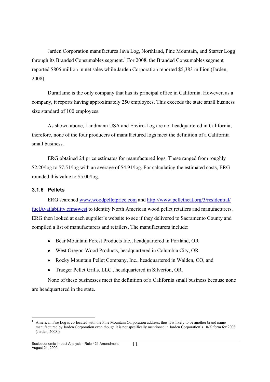Jarden Corporation manufactures Java Log, Northland, Pine Mountain, and Starter Logg through its Branded Consumables segment.<sup>1</sup> For 2008, the Branded Consumables segment reported \$805 million in net sales while Jarden Corporation reported \$5,383 million (Jarden, 2008).

Duraflame is the only company that has its principal office in California. However, as a company, it reports having approximately 250 employees. This exceeds the state small business size standard of 100 employees.

As shown above, Landmann USA and Enviro-Log are not headquartered in California; therefore, none of the four producers of manufactured logs meet the definition of a California small business.

ERG obtained 24 price estimates for manufactured logs. These ranged from roughly \$2.20/log to \$7.51/log with an average of \$4.91/log. For calculating the estimated costs, ERG rounded this value to \$5.00/log.

#### **3.1.6 Pellets**

ERG searched www.woodpelletprice.com and http://www.pelletheat.org/3/residential/ fuelAvailability.cfm#west to identify North American wood pellet retailers and manufacturers. ERG then looked at each supplier's website to see if they delivered to Sacramento County and compiled a list of manufacturers and retailers. The manufacturers include:

- Bear Mountain Forest Products Inc., headquartered in Portland, OR
- West Oregon Wood Products, headquartered in Columbia City, OR
- Rocky Mountain Pellet Company, Inc., headquartered in Walden, CO, and
- Traeger Pellet Grills, LLC., headquartered in Silverton, OR.

None of these businesses meet the definition of a California small business because none are headquartered in the state.

American Fire Log is co-located with the Pine Mountain Corporation address; thus it is likely to be another brand name manufactured by Jarden Corporation even though it is not specifically mentioned in Jarden Corporation's 10-K form for 2008. (Jarden, 2008.)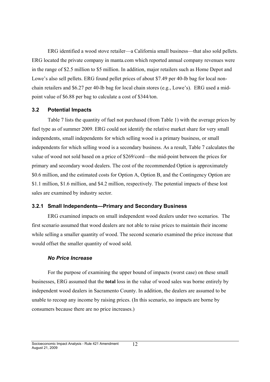ERG identified a wood stove retailer—a California small business—that also sold pellets. ERG located the private company in manta.com which reported annual company revenues were in the range of \$2.5 million to \$5 million. In addition, major retailers such as Home Depot and Lowe's also sell pellets. ERG found pellet prices of about \$7.49 per 40-lb bag for local nonchain retailers and \$6.27 per 40-lb bag for local chain stores (e.g., Lowe's). ERG used a midpoint value of \$6.88 per bag to calculate a cost of \$344/ton.

#### **3.2 Potential Impacts**

Table 7 lists the quantity of fuel not purchased (from Table 1) with the average prices by fuel type as of summer 2009. ERG could not identify the relative market share for very small independents, small independents for which selling wood is a primary business, or small independents for which selling wood is a secondary business. As a result, Table 7 calculates the value of wood not sold based on a price of \$269/cord—the mid-point between the prices for primary and secondary wood dealers. The cost of the recommended Option is approximately \$0.6 million, and the estimated costs for Option A, Option B, and the Contingency Option are \$1.1 million, \$1.6 million, and \$4.2 million, respectively. The potential impacts of these lost sales are examined by industry sector.

#### **3.2.1 Small Independents—Primary and Secondary Business**

ERG examined impacts on small independent wood dealers under two scenarios. The first scenario assumed that wood dealers are not able to raise prices to maintain their income while selling a smaller quantity of wood. The second scenario examined the price increase that would offset the smaller quantity of wood sold.

#### *No Price Increase*

For the purpose of examining the upper bound of impacts (worst case) on these small businesses, ERG assumed that the **total** loss in the value of wood sales was borne entirely by independent wood dealers in Sacramento County. In addition, the dealers are assumed to be unable to recoup any income by raising prices. (In this scenario, no impacts are borne by consumers because there are no price increases.)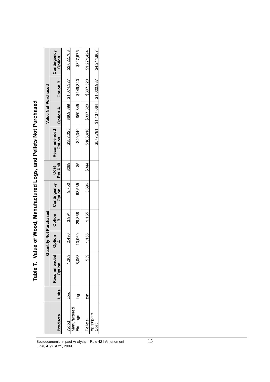|                           |            |                       | luantity Not Purchased |             |                              |                  |                       | Value Not Purchased |                       |                                                     |
|---------------------------|------------|-----------------------|------------------------|-------------|------------------------------|------------------|-----------------------|---------------------|-----------------------|-----------------------------------------------------|
| Products                  | Units      | Recommended<br>Option | Option                 | Option<br>B | <b>Contingency</b><br>Option | Per Unit<br>Cost | Recommended<br>Option | <b>Option A</b>     | <b>Option B</b>       | Contingency<br>Option                               |
| Nood                      | cord       | 1,309                 | 2,490                  | 3,994       | 9.750                        | <b>\$269</b>     | \$352,025             |                     | \$669,899 \$1,074,327 | \$2,622,768                                         |
| Manufactured<br>Fire Logs |            | 8,068                 | 13,969                 | 29,868      | 63,535                       | \$S              | \$40,340              | \$69,845            | \$149,340             | \$317,675                                           |
| Pellets                   | <b>For</b> | 539                   | 1,155                  | 1.155       | 3,696                        | \$344            | \$185,416             | 18397,320           | \$397,320             | \$1,271,424                                         |
| Aggregate<br>Cost         |            |                       |                        |             |                              |                  |                       |                     |                       | \$577,781   \$1,137,064   \$1,620,987   \$4,211,867 |

Table 7. Value of Wood, Manufactured Logs, and Pellets Not Purchased **Table 7. Value of Wood, Manufactured Logs, and Pellets Not Purchased**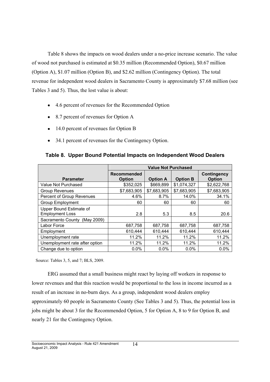Table 8 shows the impacts on wood dealers under a no-price increase scenario. The value of wood not purchased is estimated at \$0.35 million (Recommended Option), \$0.67 million (Option A), \$1.07 million (Option B), and \$2.62 million (Contingency Option). The total revenue for independent wood dealers in Sacramento County is approximately \$7.68 million (see Tables 3 and 5). Thus, the lost value is about:

- 4.6 percent of revenues for the Recommended Option
- 8.7 percent of revenues for Option A
- 14.0 percent of revenues for Option B
- 34.1 percent of revenues for the Contingency Option.

|                                                   |                                     | <b>Value Not Purchased</b> |                 |                                     |
|---------------------------------------------------|-------------------------------------|----------------------------|-----------------|-------------------------------------|
| <b>Parameter</b>                                  | <b>Recommended</b><br><b>Option</b> | <b>Option A</b>            | <b>Option B</b> | <b>Contingency</b><br><b>Option</b> |
| Value Not Purchased                               | \$352,025                           | \$669,899                  | \$1,074,327     | \$2,622,768                         |
| <b>Group Revenues</b>                             | \$7,683,905                         | \$7,683,905                | \$7,683,905     | \$7,683,905                         |
| Percent of Group Revenues                         | 4.6%                                | 8.7%                       | 14.0%           | 34.1%                               |
| <b>Group Employment</b>                           | 60                                  | 60                         | 60              | 60                                  |
| Upper Bound Estimate of<br><b>Employment Loss</b> | 2.8                                 | 5.3                        | 8.5             | 20.6                                |
| Sacramento County<br>(May 2009)                   |                                     |                            |                 |                                     |
| Labor Force                                       | 687,758                             | 687,758                    | 687,758         | 687,758                             |
| Employment                                        | 610,444                             | 610,444                    | 610,444         | 610,444                             |
| Unemployment rate                                 | 11.2%                               | 11.2%                      | 11.2%           | 11.2%                               |
| Unemployment rate after option                    | 11.2%                               | 11.2%                      | 11.2%           | 11.2%                               |
| Change due to option                              | $0.0\%$                             | $0.0\%$                    | $0.0\%$         | $0.0\%$                             |

#### **Table 8. Upper Bound Potential Impacts on Independent Wood Dealers**

Source: Tables 3, 5, and 7; BLS, 2009.

ERG assumed that a small business might react by laying off workers in response to lower revenues and that this reaction would be proportional to the loss in income incurred as a result of an increase in no-burn days. As a group, independent wood dealers employ approximately 60 people in Sacramento County (See Tables 3 and 5). Thus, the potential loss in jobs might be about 3 for the Recommended Option, 5 for Option A, 8 to 9 for Option B, and nearly 21 for the Contingency Option.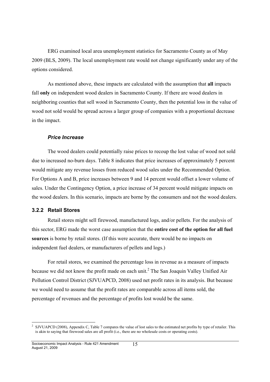ERG examined local area unemployment statistics for Sacramento County as of May 2009 (BLS, 2009). The local unemployment rate would not change significantly under any of the options considered.

As mentioned above, these impacts are calculated with the assumption that **all** impacts fall **only** on independent wood dealers in Sacramento County. If there are wood dealers in neighboring counties that sell wood in Sacramento County, then the potential loss in the value of wood not sold would be spread across a larger group of companies with a proportional decrease in the impact.

#### *Price Increase*

The wood dealers could potentially raise prices to recoup the lost value of wood not sold due to increased no-burn days. Table 8 indicates that price increases of approximately 5 percent would mitigate any revenue losses from reduced wood sales under the Recommended Option. For Options A and B, price increases between 9 and 14 percent would offset a lower volume of sales. Under the Contingency Option, a price increase of 34 percent would mitigate impacts on the wood dealers. In this scenario, impacts are borne by the consumers and not the wood dealers.

#### **3.2.2 Retail Stores**

Retail stores might sell firewood, manufactured logs, and/or pellets. For the analysis of this sector, ERG made the worst case assumption that the **entire cost of the option for all fuel sources** is borne by retail stores. (If this were accurate, there would be no impacts on independent fuel dealers, or manufacturers of pellets and logs.)

For retail stores, we examined the percentage loss in revenue as a measure of impacts because we did not know the profit made on each unit.<sup>2</sup> The San Joaquin Valley Unified Air Pollution Control District (SJVUAPCD, 2008) used net profit rates in its analysis. But because we would need to assume that the profit rates are comparable across all items sold, the percentage of revenues and the percentage of profits lost would be the same.

<sup>&</sup>lt;sup>2</sup> SJVUAPCD (2008), Appendix C, Table 7 compares the value of lost sales to the estimated net profits by type of retailer. This is akin to saying that firewood sales are all profit (i.e., there are no wholesale costs or operating costs).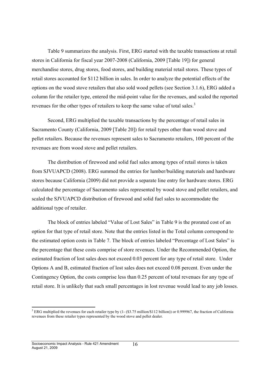Table 9 summarizes the analysis. First, ERG started with the taxable transactions at retail stores in California for fiscal year 2007-2008 (California, 2009 [Table 19]) for general merchandise stores, drug stores, food stores, and building material retail stores. These types of retail stores accounted for \$112 billion in sales. In order to analyze the potential effects of the options on the wood stove retailers that also sold wood pellets (see Section 3.1.6), ERG added a column for the retailer type, entered the mid-point value for the revenues, and scaled the reported revenues for the other types of retailers to keep the same value of total sales.<sup>3</sup>

Second, ERG multiplied the taxable transactions by the percentage of retail sales in Sacramento County (California, 2009 [Table 20]) for retail types other than wood stove and pellet retailers. Because the revenues represent sales to Sacramento retailers, 100 percent of the revenues are from wood stove and pellet retailers.

The distribution of firewood and solid fuel sales among types of retail stores is taken from SJVUAPCD (2008). ERG summed the entries for lumber/building materials and hardware stores because California (2009) did not provide a separate line entry for hardware stores. ERG calculated the percentage of Sacramento sales represented by wood stove and pellet retailers, and scaled the SJVUAPCD distribution of firewood and solid fuel sales to accommodate the additional type of retailer.

The block of entries labeled "Value of Lost Sales" in Table 9 is the prorated cost of an option for that type of retail store. Note that the entries listed in the Total column correspond to the estimated option costs in Table 7. The block of entries labeled "Percentage of Lost Sales" is the percentage that these costs comprise of store revenues. Under the Recommended Option, the estimated fraction of lost sales does not exceed 0.03 percent for any type of retail store. Under Options A and B, estimated fraction of lost sales does not exceed 0.08 percent. Even under the Contingency Option, the costs comprise less than 0.25 percent of total revenues for any type of retail store. It is unlikely that such small percentages in lost revenue would lead to any job losses.

 $3$  ERG multiplied the revenues for each retailer type by (1- (\$3.75 million/\$112 billion)) or 0.999967, the fraction of California revenues from these retailer types represented by the wood stove and pellet dealer.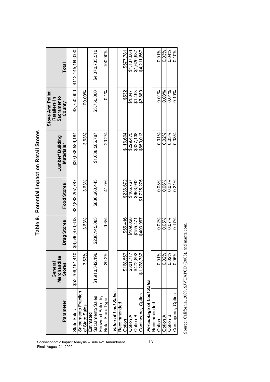| -<br>i<br>Ì<br>٦        |
|-------------------------|
| 'n<br>ı                 |
| ì<br>Ċ<br>j<br>׆֧       |
|                         |
| ;<br>Ę<br>$\frac{1}{2}$ |

| \$3,750,000<br>100.00%<br>0.01%<br>0.04%<br>\$3,750,000<br>\$532<br>\$1,493<br>$0.03\%$<br>0.10%<br>0.1%<br>\$1,047<br>\$3,880<br>0.01%<br>0.03%<br>3.63%<br>\$229.475<br>0.02%<br>0.08%<br>20.2%<br>\$327,138<br>\$116,604<br>\$850,013<br>\$29,988,589,184<br>\$1,088,585,787<br>0.03%<br>0.06%<br>0.08%<br>0.21%<br>3.63%<br>41.0%<br>\$236,672<br>\$830,660,443<br>\$663,992<br>\$1,725,275<br>\$22,883,207,787<br>\$465.767<br>0.02%<br>\$6,560,470,618<br>\$55.416<br>0.05%<br>0.07%<br>0.17%<br>3.63%<br>\$238,145,083<br>9.6%<br>\$109.058<br>\$155,471<br>\$403,967<br>0.01%<br>0.06%<br>3.63%<br>29.2%<br>\$472.892<br>0.02%<br>0.02%<br>\$52,709,151,410<br>\$1,913,342,196<br>\$1,228,732<br>\$168.557<br>\$331,717<br>Percentage of Lost Sales<br>Sacramento Fraction<br>Value of Lost Sales<br>Contingency Option<br>Contingency Option<br>Sacramento Sales<br>Firewood Sales by<br>Retail Store Type<br>Recommended<br>Recommended<br>of State Sales<br>State Sales<br>Estimated<br>Option A<br>Option B<br>Option A<br>Option B<br>Option<br>Option | Parameter | Merchandise<br>General<br><b>Stores</b> | Drug Stores | Food Stores | Lumber/ Building<br>Materials* | <b>Stove And Pellet</b><br>Sacramento<br>Retailers in<br>County | Total             |
|---------------------------------------------------------------------------------------------------------------------------------------------------------------------------------------------------------------------------------------------------------------------------------------------------------------------------------------------------------------------------------------------------------------------------------------------------------------------------------------------------------------------------------------------------------------------------------------------------------------------------------------------------------------------------------------------------------------------------------------------------------------------------------------------------------------------------------------------------------------------------------------------------------------------------------------------------------------------------------------------------------------------------------------------------------------------|-----------|-----------------------------------------|-------------|-------------|--------------------------------|-----------------------------------------------------------------|-------------------|
|                                                                                                                                                                                                                                                                                                                                                                                                                                                                                                                                                                                                                                                                                                                                                                                                                                                                                                                                                                                                                                                                     |           |                                         |             |             |                                |                                                                 | \$112,145,169,000 |
|                                                                                                                                                                                                                                                                                                                                                                                                                                                                                                                                                                                                                                                                                                                                                                                                                                                                                                                                                                                                                                                                     |           |                                         |             |             |                                |                                                                 |                   |
|                                                                                                                                                                                                                                                                                                                                                                                                                                                                                                                                                                                                                                                                                                                                                                                                                                                                                                                                                                                                                                                                     |           |                                         |             |             |                                |                                                                 | \$4,070,733,510   |
|                                                                                                                                                                                                                                                                                                                                                                                                                                                                                                                                                                                                                                                                                                                                                                                                                                                                                                                                                                                                                                                                     |           |                                         |             |             |                                |                                                                 | 100.00%           |
|                                                                                                                                                                                                                                                                                                                                                                                                                                                                                                                                                                                                                                                                                                                                                                                                                                                                                                                                                                                                                                                                     |           |                                         |             |             |                                |                                                                 |                   |
|                                                                                                                                                                                                                                                                                                                                                                                                                                                                                                                                                                                                                                                                                                                                                                                                                                                                                                                                                                                                                                                                     |           |                                         |             |             |                                |                                                                 | \$577,781         |
|                                                                                                                                                                                                                                                                                                                                                                                                                                                                                                                                                                                                                                                                                                                                                                                                                                                                                                                                                                                                                                                                     |           |                                         |             |             |                                |                                                                 | \$1,137,064       |
|                                                                                                                                                                                                                                                                                                                                                                                                                                                                                                                                                                                                                                                                                                                                                                                                                                                                                                                                                                                                                                                                     |           |                                         |             |             |                                |                                                                 | \$1,620,987       |
|                                                                                                                                                                                                                                                                                                                                                                                                                                                                                                                                                                                                                                                                                                                                                                                                                                                                                                                                                                                                                                                                     |           |                                         |             |             |                                |                                                                 | \$4,211,867       |
|                                                                                                                                                                                                                                                                                                                                                                                                                                                                                                                                                                                                                                                                                                                                                                                                                                                                                                                                                                                                                                                                     |           |                                         |             |             |                                |                                                                 |                   |
|                                                                                                                                                                                                                                                                                                                                                                                                                                                                                                                                                                                                                                                                                                                                                                                                                                                                                                                                                                                                                                                                     |           |                                         |             |             |                                |                                                                 | 0.01%             |
|                                                                                                                                                                                                                                                                                                                                                                                                                                                                                                                                                                                                                                                                                                                                                                                                                                                                                                                                                                                                                                                                     |           |                                         |             |             |                                |                                                                 | 0.03%             |
|                                                                                                                                                                                                                                                                                                                                                                                                                                                                                                                                                                                                                                                                                                                                                                                                                                                                                                                                                                                                                                                                     |           |                                         |             |             |                                |                                                                 | 0.04%             |
|                                                                                                                                                                                                                                                                                                                                                                                                                                                                                                                                                                                                                                                                                                                                                                                                                                                                                                                                                                                                                                                                     |           |                                         |             |             |                                |                                                                 | 0.10%             |

Socioeconomic Impact Analysis – Rule 421 Amendment  $17$ Final, August 21, 2009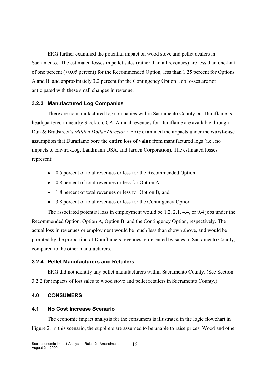ERG further examined the potential impact on wood stove and pellet dealers in Sacramento. The estimated losses in pellet sales (rather than all revenues) are less than one-half of one percent (<0.05 percent) for the Recommended Option, less than 1.25 percent for Options A and B, and approximately 3.2 percent for the Contingency Option. Job losses are not anticipated with these small changes in revenue.

#### **3.2.3 Manufactured Log Companies**

There are no manufactured log companies within Sacramento County but Duraflame is headquartered in nearby Stockton, CA. Annual revenues for Duraflame are available through Dun & Bradstreet's *Million Dollar Directory*. ERG examined the impacts under the **worst-case** assumption that Duraflame bore the **entire loss of value** from manufactured logs (i.e., no impacts to Enviro-Log, Landmann USA, and Jarden Corporation). The estimated losses represent:

- 0.5 percent of total revenues or less for the Recommended Option
- 0.8 percent of total revenues or less for Option A,
- 1.8 percent of total revenues or less for Option B, and
- 3.8 percent of total revenues or less for the Contingency Option.

The associated potential loss in employment would be 1.2, 2.1, 4.4, or 9.4 jobs under the Recommended Option, Option A, Option B, and the Contingency Option, respectively. The actual loss in revenues or employment would be much less than shown above, and would be prorated by the proportion of Duraflame's revenues represented by sales in Sacramento County, compared to the other manufacturers.

#### **3.2.4 Pellet Manufacturers and Retailers**

ERG did not identify any pellet manufacturers within Sacramento County. (See Section 3.2.2 for impacts of lost sales to wood stove and pellet retailers in Sacramento County.)

#### **4.0 CONSUMERS**

#### **4.1 No Cost Increase Scenario**

The economic impact analysis for the consumers is illustrated in the logic flowchart in Figure 2. In this scenario, the suppliers are assumed to be unable to raise prices. Wood and other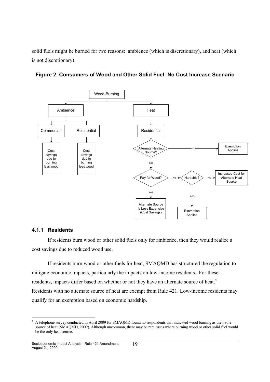solid fuels might be burned for two reasons: ambience (which is discretionary), and heat (which is not discretionary).



**Figure 2. Consumers of Wood and Other Solid Fuel: No Cost Increase Scenario**

#### **4.1.1 Residents**

If residents burn wood or other solid fuels only for ambience, then they would realize a cost savings due to reduced wood use.

If residents burn wood or other fuels for heat, SMAQMD has structured the regulation to mitigate economic impacts, particularly the impacts on low-income residents. For these residents, impacts differ based on whether or not they have an alternate source of heat.<sup>4</sup> Residents with no alternate source of heat are exempt from Rule 421. Low-income residents may qualify for an exemption based on economic hardship.

<sup>&</sup>lt;sup>4</sup> A telephone survey conducted in April 2009 for SMAQMD found no respondents that indicated wood burning as their sole source of heat (SMAQMD, 2009). Although uncommon, there may be rare cases where burning wood or other solid fuel would be the only heat source.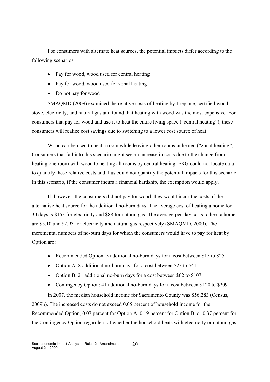For consumers with alternate heat sources, the potential impacts differ according to the following scenarios:

- Pay for wood, wood used for central heating
- Pay for wood, wood used for zonal heating
- Do not pay for wood

SMAQMD (2009) examined the relative costs of heating by fireplace, certified wood stove, electricity, and natural gas and found that heating with wood was the most expensive. For consumers that pay for wood and use it to heat the entire living space ("central heating"), these consumers will realize cost savings due to switching to a lower cost source of heat.

Wood can be used to heat a room while leaving other rooms unheated ("zonal heating"). Consumers that fall into this scenario might see an increase in costs due to the change from heating one room with wood to heating all rooms by central heating. ERG could not locate data to quantify these relative costs and thus could not quantify the potential impacts for this scenario. In this scenario, if the consumer incurs a financial hardship, the exemption would apply.

If, however, the consumers did not pay for wood, they would incur the costs of the alternative heat source for the additional no-burn days. The average cost of heating a home for 30 days is \$153 for electricity and \$88 for natural gas. The average per-day costs to heat a home are \$5.10 and \$2.93 for electricity and natural gas respectively (SMAQMD, 2009). The incremental numbers of no-burn days for which the consumers would have to pay for heat by Option are:

- Recommended Option: 5 additional no-burn days for a cost between \$15 to \$25
- Option A: 8 additional no-burn days for a cost between \$23 to \$41
- Option B: 21 additional no-burn days for a cost between \$62 to \$107
- Contingency Option: 41 additional no-burn days for a cost between \$120 to \$209

In 2007, the median household income for Sacramento County was \$56,283 (Census, 2009b). The increased costs do not exceed 0.05 percent of household income for the Recommended Option, 0.07 percent for Option A, 0.19 percent for Option B, or 0.37 percent for the Contingency Option regardless of whether the household heats with electricity or natural gas.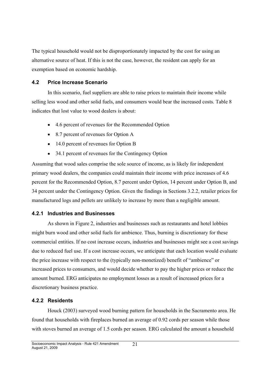The typical household would not be disproportionately impacted by the cost for using an alternative source of heat. If this is not the case, however, the resident can apply for an exemption based on economic hardship.

#### **4.2 Price Increase Scenario**

In this scenario, fuel suppliers are able to raise prices to maintain their income while selling less wood and other solid fuels, and consumers would bear the increased costs. Table 8 indicates that lost value to wood dealers is about:

- 4.6 percent of revenues for the Recommended Option
- 8.7 percent of revenues for Option A
- 14.0 percent of revenues for Option B
- 34.1 percent of revenues for the Contingency Option

Assuming that wood sales comprise the sole source of income, as is likely for independent primary wood dealers, the companies could maintain their income with price increases of 4.6 percent for the Recommended Option, 8.7 percent under Option, 14 percent under Option B, and 34 percent under the Contingency Option. Given the findings in Sections 3.2.2, retailer prices for manufactured logs and pellets are unlikely to increase by more than a negligible amount.

#### **4.2.1 Industries and Businesses**

As shown in Figure 2, industries and businesses such as restaurants and hotel lobbies might burn wood and other solid fuels for ambience. Thus, burning is discretionary for these commercial entities. If no cost increase occurs, industries and businesses might see a cost savings due to reduced fuel use. If a cost increase occurs, we anticipate that each location would evaluate the price increase with respect to the (typically non-monetized) benefit of "ambience" or increased prices to consumers, and would decide whether to pay the higher prices or reduce the amount burned. ERG anticipates no employment losses as a result of increased prices for a discretionary business practice.

#### **4.2.2 Residents**

Houck (2003) surveyed wood burning pattern for households in the Sacramento area. He found that households with fireplaces burned an average of 0.92 cords per season while those with stoves burned an average of 1.5 cords per season. ERG calculated the amount a household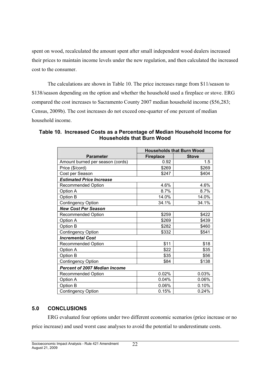spent on wood, recalculated the amount spent after small independent wood dealers increased their prices to maintain income levels under the new regulation, and then calculated the increased cost to the consumer.

The calculations are shown in Table 10. The price increases range from \$11/season to \$138/season depending on the option and whether the household used a fireplace or stove. ERG compared the cost increases to Sacramento County 2007 median household income (\$56,283; Census, 2009b). The cost increases do not exceed one-quarter of one percent of median household income.

#### **Table 10. Increased Costs as a Percentage of Median Household Income for Households that Burn Wood**

|                                      |                  | <b>Households that Burn Wood</b> |
|--------------------------------------|------------------|----------------------------------|
| <b>Parameter</b>                     | <b>Fireplace</b> | <b>Stove</b>                     |
| Amount burned per season (cords)     | 0.92             | 1.5                              |
| Price (\$/cord)                      | \$269            | \$269                            |
| Cost per Season                      | \$247            | \$404                            |
| <b>Estimated Price Increase</b>      |                  |                                  |
| <b>Recommended Option</b>            | 4.6%             | 4.6%                             |
| Option A                             | 8.7%             | 8.7%                             |
| Option B                             | 14.0%            | 14.0%                            |
| <b>Contingency Option</b>            | 34.1%            | 34.1%                            |
| <b>New Cost Per Season</b>           |                  |                                  |
| Recommended Option                   | \$259            | \$422                            |
| Option A                             | \$269            | \$439                            |
| Option B                             | \$282            | \$460                            |
| <b>Contingency Option</b>            | \$332            | \$541                            |
| <b>Incremental Cost</b>              |                  |                                  |
| <b>Recommended Option</b>            | \$11             | \$18                             |
| Option A                             | \$22             | \$35                             |
| Option B                             | \$35             | \$56                             |
| <b>Contingency Option</b>            | \$84             | \$138                            |
| <b>Percent of 2007 Median Income</b> |                  |                                  |
| <b>Recommended Option</b>            | 0.02%            | 0.03%                            |
| Option A                             | 0.04%            | 0.06%                            |
| Option B                             | 0.06%            | 0.10%                            |
| <b>Contingency Option</b>            | 0.15%            | 0.24%                            |

#### **5.0 CONCLUSIONS**

ERG evaluated four options under two different economic scenarios (price increase or no

price increase) and used worst case analyses to avoid the potential to underestimate costs.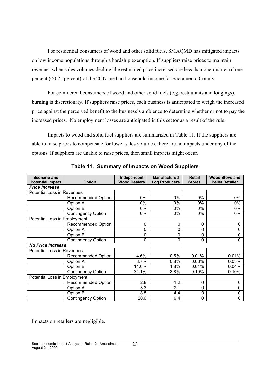For residential consumers of wood and other solid fuels, SMAQMD has mitigated impacts on low income populations through a hardship exemption. If suppliers raise prices to maintain revenues when sales volumes decline, the estimated price increased are less than one-quarter of one percent (<0.25 percent) of the 2007 median household income for Sacramento County.

For commercial consumers of wood and other solid fuels (e.g. restaurants and lodgings), burning is discretionary. If suppliers raise prices, each business is anticipated to weigh the increased price against the perceived benefit to the business's ambience to determine whether or not to pay the increased prices. No employment losses are anticipated in this sector as a result of the rule.

Impacts to wood and solid fuel suppliers are summarized in Table 11. If the suppliers are able to raise prices to compensate for lower sales volumes, there are no impacts under any of the options. If suppliers are unable to raise prices, then small impacts might occur.

| <b>Scenario and</b>                 |                           | Independent         | <b>Manufactured</b>  | <b>Retail</b> | <b>Wood Stove and</b>  |
|-------------------------------------|---------------------------|---------------------|----------------------|---------------|------------------------|
| <b>Potential Impact</b>             | <b>Option</b>             | <b>Wood Dealers</b> | <b>Log Producers</b> | <b>Stores</b> | <b>Pellet Retailer</b> |
| <b>Price Increase</b>               |                           |                     |                      |               |                        |
| <b>Potential Loss in Revenues</b>   |                           |                     |                      |               |                        |
|                                     | Recommended Option        | 0%                  | 0%                   | 0%            | 0%                     |
|                                     | Option A                  | 0%                  | 0%                   | 0%            | 0%                     |
|                                     | Option B                  | 0%                  | 0%                   | 0%            | 0%                     |
|                                     | <b>Contingency Option</b> | 0%                  | 0%                   | 0%            | 0%                     |
| <b>Potential Loss in Employment</b> |                           |                     |                      |               |                        |
|                                     | Recommended Option        | 0                   | 0                    | 0             | 0                      |
|                                     | Option A                  | 0                   | 0                    | 0             | 0                      |
|                                     | Option B                  | 0                   | 0                    | 0             | $\mathbf 0$            |
|                                     | <b>Contingency Option</b> | 0                   | 0                    | 0             | $\mathbf 0$            |
| <b>No Price Increase</b>            |                           |                     |                      |               |                        |
| Potential Loss in Revenues          |                           |                     |                      |               |                        |
|                                     | Recommended Option        | 4.6%                | 0.5%                 | 0.01%         | 0.01%                  |
|                                     | Option A                  | 8.7%                | 0.8%                 | 0.03%         | 0.03%                  |
|                                     | Option B                  | 14.0%               | 1.8%                 | 0.04%         | 0.04%                  |
|                                     | <b>Contingency Option</b> | 34.1%               | 3.8%                 | 0.10%         | 0.10%                  |
| Potential Loss in Employment        |                           |                     |                      |               |                        |
|                                     | Recommended Option        | 2.8                 | 1.2                  | 0             | $\Omega$               |
|                                     | Option A                  | $\overline{5.3}$    | 2.1                  | 0             | 0                      |
|                                     | Option B                  | 8.5                 | 4.4                  | 0             | 0                      |
|                                     | <b>Contingency Option</b> | 20.6                | 9.4                  | 0             | 0                      |

**Table 11. Summary of Impacts on Wood Suppliers**

Impacts on retailers are negligible.